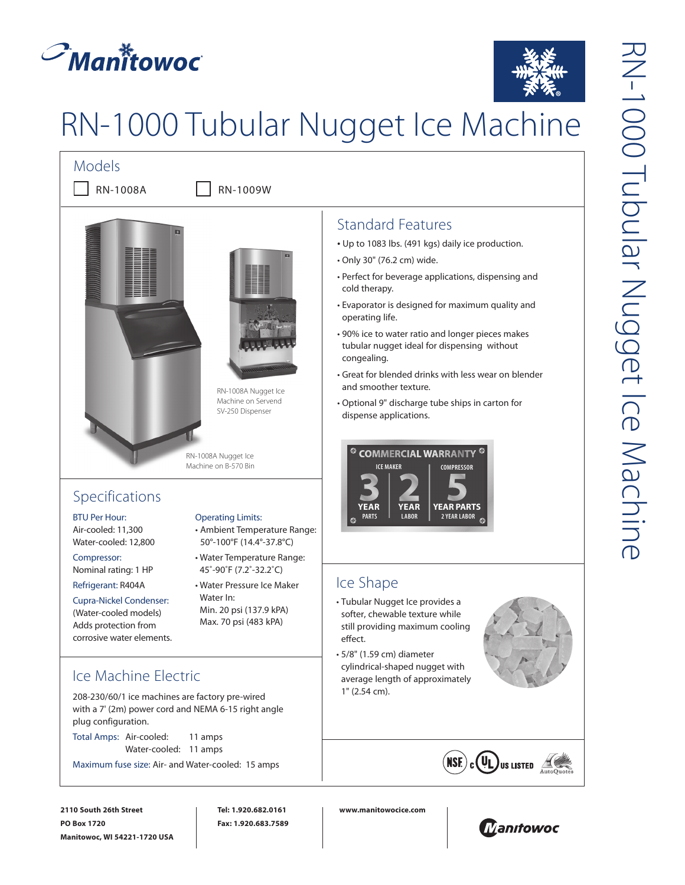



# RN-1000 Tubular Nugget Ice Machine



# Standard Features

- Up to 1083 lbs. (491 kgs) daily ice production.
- Only 30" (76.2 cm) wide.
- Perfect for beverage applications, dispensing and cold therapy.
- Evaporator is designed for maximum quality and operating life.
- 90% ice to water ratio and longer pieces makes tubular nugget ideal for dispensing without congealing.
- Great for blended drinks with less wear on blender and smoother texture.
- Optional 9" discharge tube ships in carton for dispense applications.



# Ice Shape

- Tubular Nugget Ice provides a softer, chewable texture while still providing maximum cooling
- 5/8" (1.59 cm) diameter cylindrical-shaped nugget with average length of approximately 1" (2.54 cm).



**NSE)** 

208-230/60/1 ice machines are factory pre-wired with a 7' (2m) power cord and NEMA 6-15 right angle plug configuration.

Total Amps: Air-cooled: 11 amps Water-cooled: 11 amps

Maximum fuse size: Air- and Water-cooled: 15 amps

**2110 South 26th Street PO Box 1720 Manitowoc, WI 54221-1720 USA**

**Tel: 1.920.682.0161 Fax: 1.920.683.7589** **www.manitowocice.com**